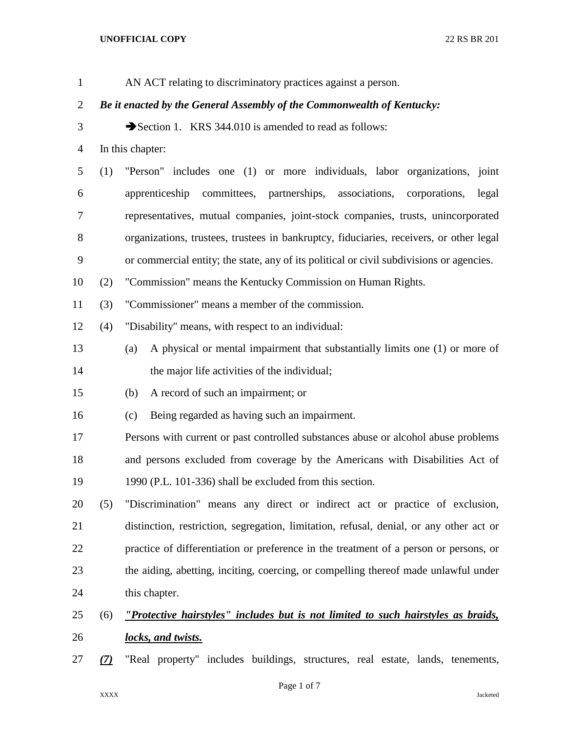| $\mathbf{1}$   |                                                                        | AN ACT relating to discriminatory practices against a person.                            |  |  |
|----------------|------------------------------------------------------------------------|------------------------------------------------------------------------------------------|--|--|
| $\overline{2}$ | Be it enacted by the General Assembly of the Commonwealth of Kentucky: |                                                                                          |  |  |
| 3              |                                                                        | Section 1. KRS 344.010 is amended to read as follows:                                    |  |  |
| $\overline{4}$ |                                                                        | In this chapter:                                                                         |  |  |
| 5              | (1)                                                                    | "Person" includes one (1) or more individuals, labor organizations, joint                |  |  |
| 6              |                                                                        | apprenticeship committees, partnerships,<br>associations, corporations,<br>legal         |  |  |
| $\tau$         |                                                                        | representatives, mutual companies, joint-stock companies, trusts, unincorporated         |  |  |
| $8\,$          |                                                                        | organizations, trustees, trustees in bankruptcy, fiduciaries, receivers, or other legal  |  |  |
| 9              |                                                                        | or commercial entity; the state, any of its political or civil subdivisions or agencies. |  |  |
| 10             | (2)                                                                    | "Commission" means the Kentucky Commission on Human Rights.                              |  |  |
| 11             | (3)                                                                    | "Commissioner" means a member of the commission.                                         |  |  |
| 12             | (4)                                                                    | "Disability" means, with respect to an individual:                                       |  |  |
| 13             |                                                                        | A physical or mental impairment that substantially limits one (1) or more of<br>(a)      |  |  |
| 14             |                                                                        | the major life activities of the individual;                                             |  |  |
| 15             |                                                                        | A record of such an impairment; or<br>(b)                                                |  |  |
| 16             |                                                                        | Being regarded as having such an impairment.<br>(c)                                      |  |  |
| 17             |                                                                        | Persons with current or past controlled substances abuse or alcohol abuse problems       |  |  |
| 18             |                                                                        | and persons excluded from coverage by the Americans with Disabilities Act of             |  |  |
| 19             |                                                                        | 1990 (P.L. 101-336) shall be excluded from this section.                                 |  |  |
| 20             | (5)                                                                    | "Discrimination" means any direct or indirect act or practice of exclusion,              |  |  |
| 21             |                                                                        | distinction, restriction, segregation, limitation, refusal, denial, or any other act or  |  |  |
| 22             |                                                                        | practice of differentiation or preference in the treatment of a person or persons, or    |  |  |
| 23             |                                                                        | the aiding, abetting, inciting, coercing, or compelling thereof made unlawful under      |  |  |
| 24             |                                                                        | this chapter.                                                                            |  |  |
| 25             | (6)                                                                    | "Protective hairstyles" includes but is not limited to such hairstyles as braids,        |  |  |
| 26             |                                                                        | locks, and twists.                                                                       |  |  |

*(7)* "Real property" includes buildings, structures, real estate, lands, tenements,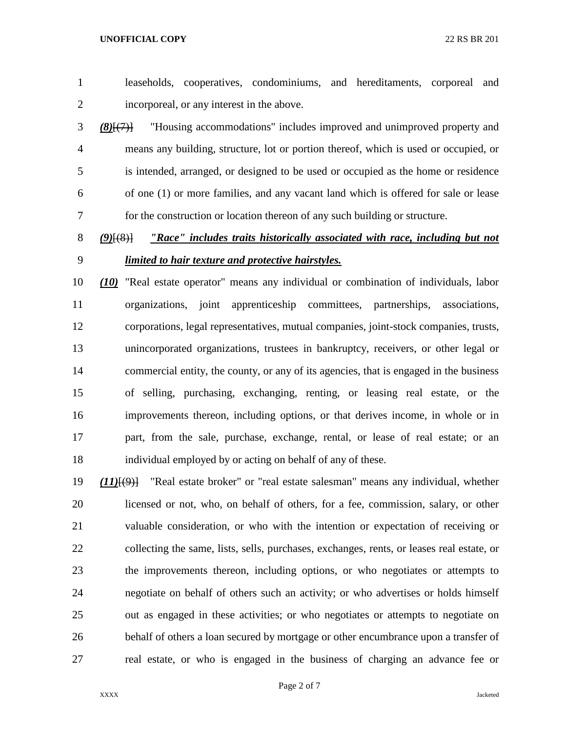- leaseholds, cooperatives, condominiums, and hereditaments, corporeal and incorporeal, or any interest in the above.
- *(8)*[(7)] "Housing accommodations" includes improved and unimproved property and means any building, structure, lot or portion thereof, which is used or occupied, or is intended, arranged, or designed to be used or occupied as the home or residence of one (1) or more families, and any vacant land which is offered for sale or lease for the construction or location thereon of any such building or structure.

 *(9)*[(8)] *"Race" includes traits historically associated with race, including but not limited to hair texture and protective hairstyles.*

 *(10)* "Real estate operator" means any individual or combination of individuals, labor organizations, joint apprenticeship committees, partnerships, associations, corporations, legal representatives, mutual companies, joint-stock companies, trusts, unincorporated organizations, trustees in bankruptcy, receivers, or other legal or commercial entity, the county, or any of its agencies, that is engaged in the business of selling, purchasing, exchanging, renting, or leasing real estate, or the improvements thereon, including options, or that derives income, in whole or in part, from the sale, purchase, exchange, rental, or lease of real estate; or an individual employed by or acting on behalf of any of these.

 *(11)*[(9)] "Real estate broker" or "real estate salesman" means any individual, whether licensed or not, who, on behalf of others, for a fee, commission, salary, or other valuable consideration, or who with the intention or expectation of receiving or collecting the same, lists, sells, purchases, exchanges, rents, or leases real estate, or the improvements thereon, including options, or who negotiates or attempts to negotiate on behalf of others such an activity; or who advertises or holds himself out as engaged in these activities; or who negotiates or attempts to negotiate on behalf of others a loan secured by mortgage or other encumbrance upon a transfer of real estate, or who is engaged in the business of charging an advance fee or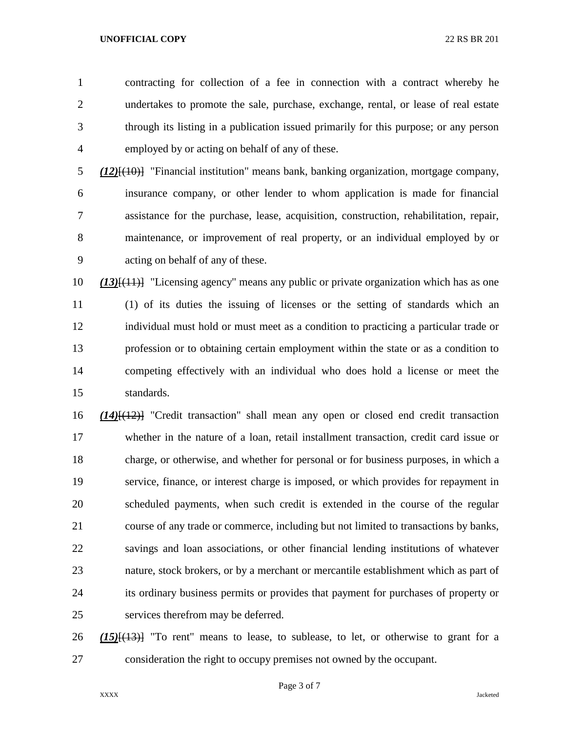contracting for collection of a fee in connection with a contract whereby he undertakes to promote the sale, purchase, exchange, rental, or lease of real estate through its listing in a publication issued primarily for this purpose; or any person employed by or acting on behalf of any of these.

 *(12)*[(10)] "Financial institution" means bank, banking organization, mortgage company, insurance company, or other lender to whom application is made for financial assistance for the purchase, lease, acquisition, construction, rehabilitation, repair, maintenance, or improvement of real property, or an individual employed by or acting on behalf of any of these.

 *(13)*[(11)] "Licensing agency" means any public or private organization which has as one (1) of its duties the issuing of licenses or the setting of standards which an individual must hold or must meet as a condition to practicing a particular trade or profession or to obtaining certain employment within the state or as a condition to competing effectively with an individual who does hold a license or meet the standards.

 *(14)*[(12)] "Credit transaction" shall mean any open or closed end credit transaction whether in the nature of a loan, retail installment transaction, credit card issue or charge, or otherwise, and whether for personal or for business purposes, in which a service, finance, or interest charge is imposed, or which provides for repayment in scheduled payments, when such credit is extended in the course of the regular course of any trade or commerce, including but not limited to transactions by banks, savings and loan associations, or other financial lending institutions of whatever nature, stock brokers, or by a merchant or mercantile establishment which as part of its ordinary business permits or provides that payment for purchases of property or services therefrom may be deferred.

 *(15)*[(13)] "To rent" means to lease, to sublease, to let, or otherwise to grant for a consideration the right to occupy premises not owned by the occupant.

Page 3 of 7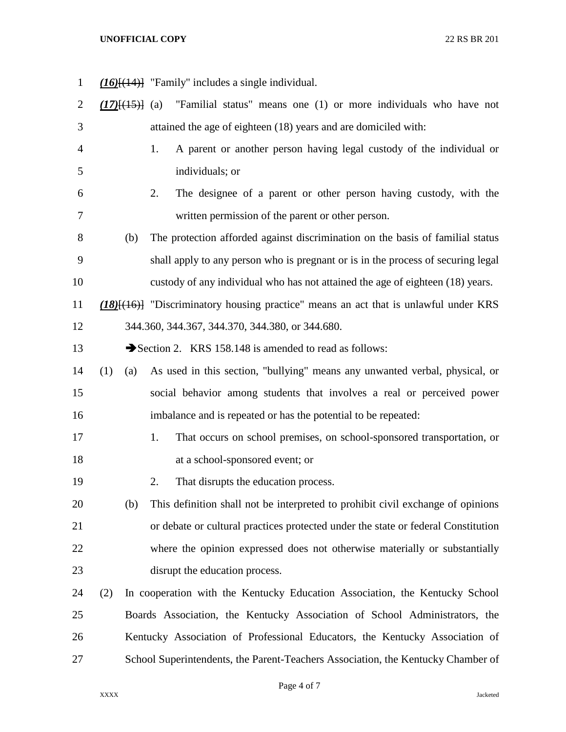| $\mathbf{1}$   |     |     | $(16)$ [ $(14)$ ] "Family" includes a single individual.                                    |
|----------------|-----|-----|---------------------------------------------------------------------------------------------|
| 2              |     |     | $(17)$ $(15)$ (a) "Familial status" means one (1) or more individuals who have not          |
| 3              |     |     | attained the age of eighteen (18) years and are domiciled with:                             |
| $\overline{4}$ |     |     | A parent or another person having legal custody of the individual or<br>1.                  |
| 5              |     |     | individuals; or                                                                             |
| 6              |     |     | The designee of a parent or other person having custody, with the<br>2.                     |
| 7              |     |     | written permission of the parent or other person.                                           |
| 8              |     | (b) | The protection afforded against discrimination on the basis of familial status              |
| 9              |     |     | shall apply to any person who is pregnant or is in the process of securing legal            |
| 10             |     |     | custody of any individual who has not attained the age of eighteen (18) years.              |
| 11             |     |     | $(18)$ [ $(16)$ ] "Discriminatory housing practice" means an act that is unlawful under KRS |
| 12             |     |     | 344.360, 344.367, 344.370, 344.380, or 344.680.                                             |
| 13             |     |     | Section 2. KRS 158.148 is amended to read as follows:                                       |
| 14             | (1) | (a) | As used in this section, "bullying" means any unwanted verbal, physical, or                 |
| 15             |     |     | social behavior among students that involves a real or perceived power                      |
| 16             |     |     | imbalance and is repeated or has the potential to be repeated:                              |
| 17             |     |     | That occurs on school premises, on school-sponsored transportation, or<br>1.                |
| 18             |     |     | at a school-sponsored event; or                                                             |
| 19             |     |     | 2.<br>That disrupts the education process.                                                  |
| 20             |     | (b) | This definition shall not be interpreted to prohibit civil exchange of opinions             |
| 21             |     |     | or debate or cultural practices protected under the state or federal Constitution           |
| 22             |     |     | where the opinion expressed does not otherwise materially or substantially                  |
| 23             |     |     | disrupt the education process.                                                              |
| 24             | (2) |     | In cooperation with the Kentucky Education Association, the Kentucky School                 |
| 25             |     |     | Boards Association, the Kentucky Association of School Administrators, the                  |
| 26             |     |     | Kentucky Association of Professional Educators, the Kentucky Association of                 |
| 27             |     |     | School Superintendents, the Parent-Teachers Association, the Kentucky Chamber of            |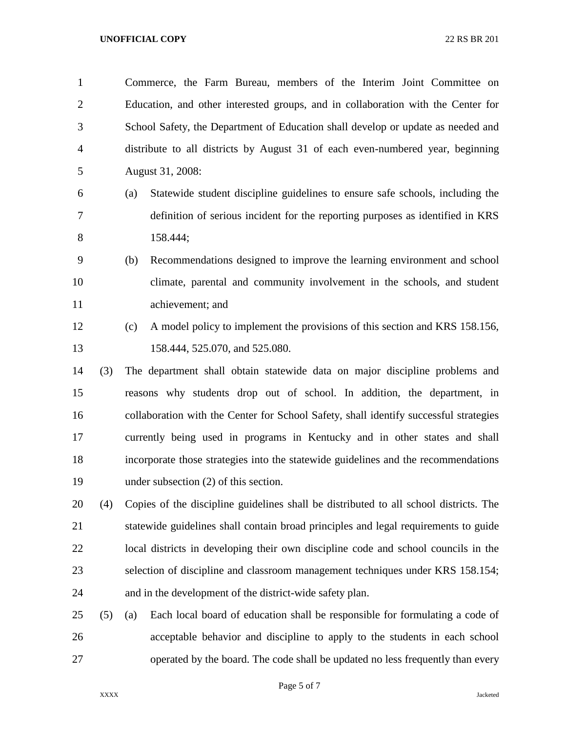| $\mathbf{1}$   |     |     | Commerce, the Farm Bureau, members of the Interim Joint Committee on                  |
|----------------|-----|-----|---------------------------------------------------------------------------------------|
| $\overline{2}$ |     |     | Education, and other interested groups, and in collaboration with the Center for      |
| 3              |     |     | School Safety, the Department of Education shall develop or update as needed and      |
| $\overline{4}$ |     |     | distribute to all districts by August 31 of each even-numbered year, beginning        |
| 5              |     |     | August 31, 2008:                                                                      |
| 6              |     | (a) | Statewide student discipline guidelines to ensure safe schools, including the         |
| 7              |     |     | definition of serious incident for the reporting purposes as identified in KRS        |
| 8              |     |     | 158.444;                                                                              |
| 9              |     | (b) | Recommendations designed to improve the learning environment and school               |
| 10             |     |     | climate, parental and community involvement in the schools, and student               |
| 11             |     |     | achievement; and                                                                      |
| 12             |     | (c) | A model policy to implement the provisions of this section and KRS 158.156,           |
| 13             |     |     | 158.444, 525.070, and 525.080.                                                        |
| 14             | (3) |     | The department shall obtain statewide data on major discipline problems and           |
| 15             |     |     | reasons why students drop out of school. In addition, the department, in              |
| 16             |     |     | collaboration with the Center for School Safety, shall identify successful strategies |
| 17             |     |     | currently being used in programs in Kentucky and in other states and shall            |
| 18             |     |     | incorporate those strategies into the statewide guidelines and the recommendations    |
| 19             |     |     | under subsection $(2)$ of this section.                                               |
|                |     |     |                                                                                       |

 (4) Copies of the discipline guidelines shall be distributed to all school districts. The statewide guidelines shall contain broad principles and legal requirements to guide local districts in developing their own discipline code and school councils in the selection of discipline and classroom management techniques under KRS 158.154; and in the development of the district-wide safety plan.

 (5) (a) Each local board of education shall be responsible for formulating a code of acceptable behavior and discipline to apply to the students in each school operated by the board. The code shall be updated no less frequently than every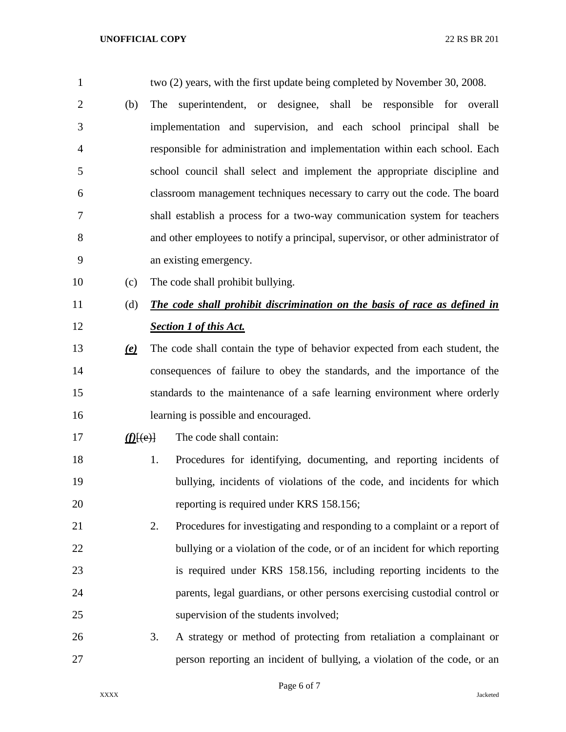| $\mathbf{1}$   |             | two (2) years, with the first update being completed by November 30, 2008.       |
|----------------|-------------|----------------------------------------------------------------------------------|
| $\overline{2}$ | (b)         | superintendent, or designee, shall be responsible for overall<br>The             |
| 3              |             | implementation and supervision, and each school principal shall be               |
| $\overline{4}$ |             | responsible for administration and implementation within each school. Each       |
| 5              |             | school council shall select and implement the appropriate discipline and         |
| 6              |             | classroom management techniques necessary to carry out the code. The board       |
| 7              |             | shall establish a process for a two-way communication system for teachers        |
| 8              |             | and other employees to notify a principal, supervisor, or other administrator of |
| 9              |             | an existing emergency.                                                           |
| 10             | (c)         | The code shall prohibit bullying.                                                |
| 11             | (d)         | The code shall prohibit discrimination on the basis of race as defined in        |
| 12             |             | <b>Section 1 of this Act.</b>                                                    |
| 13             | <u>(e)</u>  | The code shall contain the type of behavior expected from each student, the      |
| 14             |             | consequences of failure to obey the standards, and the importance of the         |
| 15             |             | standards to the maintenance of a safe learning environment where orderly        |
| 16             |             | learning is possible and encouraged.                                             |
| 17             | $(f)$ [(e)] | The code shall contain:                                                          |
| 18             |             | Procedures for identifying, documenting, and reporting incidents of<br>1.        |
| 19             |             | bullying, incidents of violations of the code, and incidents for which           |
| 20             |             | reporting is required under KRS 158.156;                                         |
| 21             |             | Procedures for investigating and responding to a complaint or a report of<br>2.  |
| 22             |             | bullying or a violation of the code, or of an incident for which reporting       |
| 23             |             | is required under KRS 158.156, including reporting incidents to the              |
| 24             |             | parents, legal guardians, or other persons exercising custodial control or       |
| 25             |             | supervision of the students involved;                                            |
| 26             |             | 3.<br>A strategy or method of protecting from retaliation a complainant or       |
| 27             |             | person reporting an incident of bullying, a violation of the code, or an         |